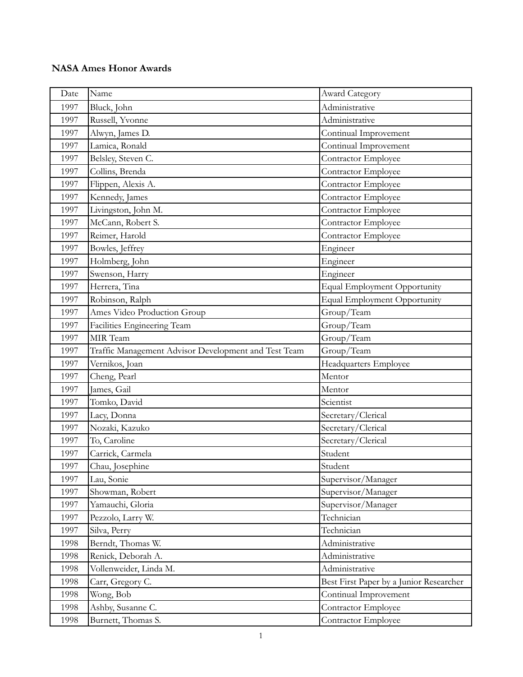| Date | Name                                                 | Award Category                          |
|------|------------------------------------------------------|-----------------------------------------|
| 1997 | Bluck, John                                          | Administrative                          |
| 1997 | Russell, Yvonne                                      | Administrative                          |
| 1997 | Alwyn, James D.                                      | Continual Improvement                   |
| 1997 | Lamica, Ronald                                       | Continual Improvement                   |
| 1997 | Belsley, Steven C.                                   | Contractor Employee                     |
| 1997 | Collins, Brenda                                      | Contractor Employee                     |
| 1997 | Flippen, Alexis A.                                   | Contractor Employee                     |
| 1997 | Kennedy, James                                       | Contractor Employee                     |
| 1997 | Livingston, John M.                                  | Contractor Employee                     |
| 1997 | McCann, Robert S.                                    | Contractor Employee                     |
| 1997 | Reimer, Harold                                       | Contractor Employee                     |
| 1997 | Bowles, Jeffrey                                      | Engineer                                |
| 1997 | Holmberg, John                                       | Engineer                                |
| 1997 | Swenson, Harry                                       | Engineer                                |
| 1997 | Herrera, Tina                                        | <b>Equal Employment Opportunity</b>     |
| 1997 | Robinson, Ralph                                      | Equal Employment Opportunity            |
| 1997 | Ames Video Production Group                          | Group/Team                              |
| 1997 | Facilities Engineering Team                          | Group/Team                              |
| 1997 | MIR Team                                             | Group/Team                              |
| 1997 | Traffic Management Advisor Development and Test Team | Group/Team                              |
| 1997 | Vernikos, Joan                                       | Headquarters Employee                   |
| 1997 | Cheng, Pearl                                         | Mentor                                  |
| 1997 | James, Gail                                          | Mentor                                  |
| 1997 | Tomko, David                                         | Scientist                               |
| 1997 | Lacy, Donna                                          | Secretary/Clerical                      |
| 1997 | Nozaki, Kazuko                                       | Secretary/Clerical                      |
| 1997 | To, Caroline                                         | Secretary/Clerical                      |
| 1997 | Carrick, Carmela                                     | Student                                 |
| 1997 | Chau, Josephine                                      | Student                                 |
| 1997 | Lau, Sonie                                           | Supervisor/Manager                      |
| 1997 | Showman, Robert                                      | Supervisor/Manager                      |
| 1997 | Yamauchi, Gloria                                     | Supervisor/Manager                      |
| 1997 | Pezzolo, Larry W.                                    | Technician                              |
| 1997 | Silva, Perry                                         | Technician                              |
| 1998 | Berndt, Thomas W.                                    | Administrative                          |
| 1998 | Renick, Deborah A.                                   | Administrative                          |
| 1998 | Vollenweider, Linda M.                               | Administrative                          |
| 1998 | Carr, Gregory C.                                     | Best First Paper by a Junior Researcher |
| 1998 | Wong, Bob                                            | Continual Improvement                   |
| 1998 | Ashby, Susanne C.                                    | Contractor Employee                     |
| 1998 | Burnett, Thomas S.                                   | Contractor Employee                     |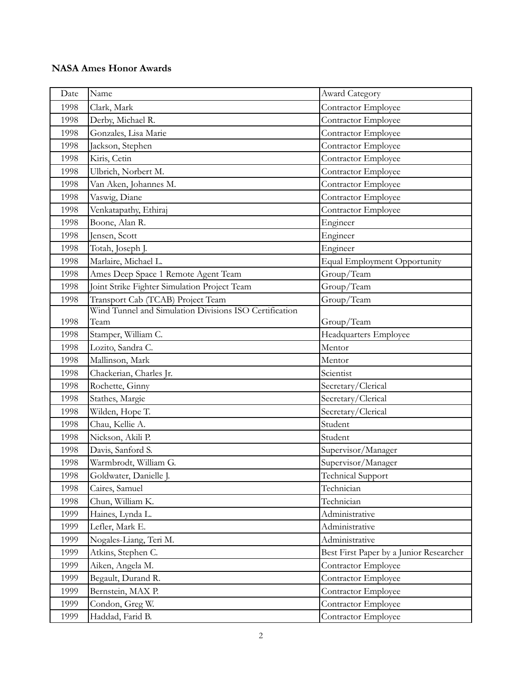| Date | Name                                                   | <b>Award Category</b>                   |
|------|--------------------------------------------------------|-----------------------------------------|
| 1998 | Clark, Mark                                            | Contractor Employee                     |
| 1998 | Derby, Michael R.                                      | Contractor Employee                     |
| 1998 | Gonzales, Lisa Marie                                   | Contractor Employee                     |
| 1998 | Jackson, Stephen                                       | Contractor Employee                     |
| 1998 | Kiris, Cetin                                           | Contractor Employee                     |
| 1998 | Ulbrich, Norbert M.                                    | Contractor Employee                     |
| 1998 | Van Aken, Johannes M.                                  | Contractor Employee                     |
| 1998 | Vaswig, Diane                                          | Contractor Employee                     |
| 1998 | Venkatapathy, Ethiraj                                  | Contractor Employee                     |
| 1998 | Boone, Alan R.                                         | Engineer                                |
| 1998 | Jensen, Scott                                          | Engineer                                |
| 1998 | Totah, Joseph J.                                       | Engineer                                |
| 1998 | Marlaire, Michael L.                                   | <b>Equal Employment Opportunity</b>     |
| 1998 | Ames Deep Space 1 Remote Agent Team                    | Group/Team                              |
| 1998 | Joint Strike Fighter Simulation Project Team           | Group/Team                              |
| 1998 | Transport Cab (TCAB) Project Team                      | Group/Team                              |
|      | Wind Tunnel and Simulation Divisions ISO Certification |                                         |
| 1998 | Team                                                   | Group/Team                              |
| 1998 | Stamper, William C.                                    | Headquarters Employee                   |
| 1998 | Lozito, Sandra C.                                      | Mentor                                  |
| 1998 | Mallinson, Mark                                        | Mentor                                  |
| 1998 | Chackerian, Charles Jr.                                | Scientist                               |
| 1998 | Rochette, Ginny                                        | Secretary/Clerical                      |
| 1998 | Stathes, Margie                                        | Secretary/Clerical                      |
| 1998 | Wilden, Hope T.                                        | Secretary/Clerical                      |
| 1998 | Chau, Kellie A.                                        | Student                                 |
| 1998 | Nickson, Akili P.                                      | Student                                 |
| 1998 | Davis, Sanford S.                                      | Supervisor/Manager                      |
| 1998 | Warmbrodt, William G.                                  | Supervisor/Manager                      |
| 1998 | Goldwater, Danielle J.                                 | <b>Technical Support</b>                |
| 1998 | Caires, Samuel                                         | Technician                              |
| 1998 | Chun, William K.                                       | Technician                              |
| 1999 | Haines, Lynda L.                                       | Administrative                          |
| 1999 | Lefler, Mark E.                                        | Administrative                          |
| 1999 | Nogales-Liang, Teri M.                                 | Administrative                          |
| 1999 | Atkins, Stephen C.                                     | Best First Paper by a Junior Researcher |
| 1999 | Aiken, Angela M.                                       | Contractor Employee                     |
| 1999 | Begault, Durand R.                                     | Contractor Employee                     |
| 1999 | Bernstein, MAX P.                                      | Contractor Employee                     |
| 1999 | Condon, Greg W.                                        | Contractor Employee                     |
| 1999 | Haddad, Farid B.                                       | Contractor Employee                     |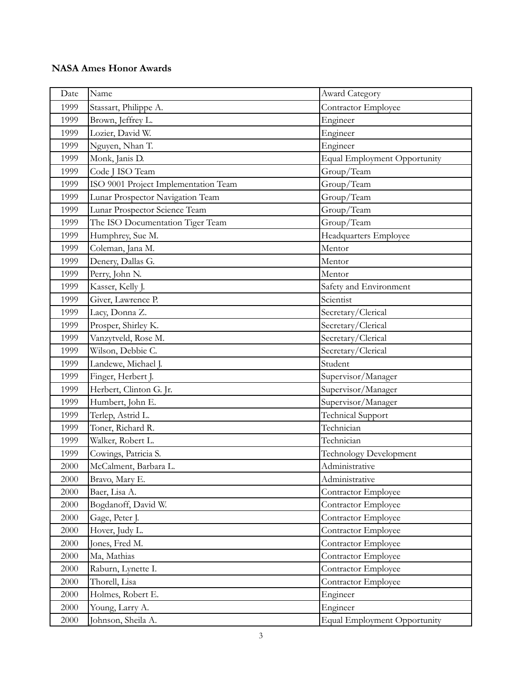| Date | Name                                 | Award Category                      |
|------|--------------------------------------|-------------------------------------|
| 1999 | Stassart, Philippe A.                | Contractor Employee                 |
| 1999 | Brown, Jeffrey L.                    | Engineer                            |
| 1999 | Lozier, David W.                     | Engineer                            |
| 1999 | Nguyen, Nhan T.                      | Engineer                            |
| 1999 | Monk, Janis D.                       | <b>Equal Employment Opportunity</b> |
| 1999 | Code J ISO Team                      | Group/Team                          |
| 1999 | ISO 9001 Project Implementation Team | Group/Team                          |
| 1999 | Lunar Prospector Navigation Team     | Group/Team                          |
| 1999 | Lunar Prospector Science Team        | Group/Team                          |
| 1999 | The ISO Documentation Tiger Team     | Group/Team                          |
| 1999 | Humphrey, Sue M.                     | Headquarters Employee               |
| 1999 | Coleman, Jana M.                     | Mentor                              |
| 1999 | Denery, Dallas G.                    | Mentor                              |
| 1999 | Perry, John N.                       | Mentor                              |
| 1999 | Kasser, Kelly J.                     | Safety and Environment              |
| 1999 | Giver, Lawrence P.                   | Scientist                           |
| 1999 | Lacy, Donna Z.                       | Secretary/Clerical                  |
| 1999 | Prosper, Shirley K.                  | Secretary/Clerical                  |
| 1999 | Vanzytveld, Rose M.                  | Secretary/Clerical                  |
| 1999 | Wilson, Debbie C.                    | Secretary/Clerical                  |
| 1999 | Landewe, Michael J.                  | Student                             |
| 1999 | Finger, Herbert J.                   | Supervisor/Manager                  |
| 1999 | Herbert, Clinton G. Jr.              | Supervisor/Manager                  |
| 1999 | Humbert, John E.                     | Supervisor/Manager                  |
| 1999 | Terlep, Astrid L.                    | <b>Technical Support</b>            |
| 1999 | Toner, Richard R.                    | Technician                          |
| 1999 | Walker, Robert L.                    | Technician                          |
| 1999 | Cowings, Patricia S.                 | <b>Technology Development</b>       |
| 2000 | McCalment, Barbara L.                | Administrative                      |
| 2000 | Bravo, Mary E.                       | Administrative                      |
| 2000 | Baer, Lisa A.                        | Contractor Employee                 |
| 2000 | Bogdanoff, David W.                  | Contractor Employee                 |
| 2000 | Gage, Peter J.                       | Contractor Employee                 |
| 2000 | Hover, Judy L.                       | Contractor Employee                 |
| 2000 | Jones, Fred M.                       | Contractor Employee                 |
| 2000 | Ma, Mathias                          | Contractor Employee                 |
| 2000 | Raburn, Lynette I.                   | Contractor Employee                 |
| 2000 | Thorell, Lisa                        | <b>Contractor Employee</b>          |
| 2000 | Holmes, Robert E.                    | Engineer                            |
| 2000 | Young, Larry A.                      | Engineer                            |
| 2000 | Johnson, Sheila A.                   | <b>Equal Employment Opportunity</b> |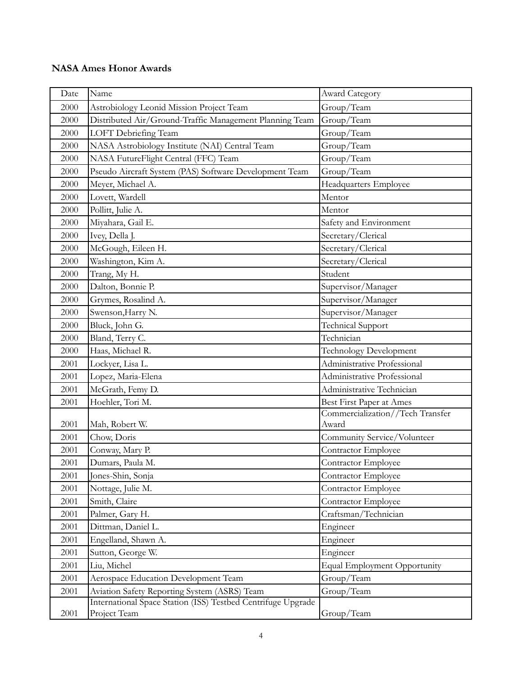| Date | Name                                                         | <b>Award Category</b>            |
|------|--------------------------------------------------------------|----------------------------------|
| 2000 | Astrobiology Leonid Mission Project Team                     | Group/Team                       |
| 2000 | Distributed Air/Ground-Traffic Management Planning Team      | Group/Team                       |
| 2000 | LOFT Debriefing Team                                         | Group/Team                       |
| 2000 | NASA Astrobiology Institute (NAI) Central Team               | Group/Team                       |
| 2000 | NASA FutureFlight Central (FFC) Team                         | Group/Team                       |
| 2000 | Pseudo Aircraft System (PAS) Software Development Team       | Group/Team                       |
| 2000 | Meyer, Michael A.                                            | <b>Headquarters Employee</b>     |
| 2000 | Lovett, Wardell                                              | Mentor                           |
| 2000 | Pollitt, Julie A.                                            | Mentor                           |
| 2000 | Miyahara, Gail E.                                            | Safety and Environment           |
| 2000 | Ivey, Della J.                                               | Secretary/Clerical               |
| 2000 | McGough, Eileen H.                                           | Secretary/Clerical               |
| 2000 | Washington, Kim A.                                           | Secretary/Clerical               |
| 2000 | Trang, My H.                                                 | Student                          |
| 2000 | Dalton, Bonnie P.                                            | Supervisor/Manager               |
| 2000 | Grymes, Rosalind A.                                          | Supervisor/Manager               |
| 2000 | Swenson, Harry N.                                            | Supervisor/Manager               |
| 2000 | Bluck, John G.                                               | <b>Technical Support</b>         |
| 2000 | Bland, Terry C.                                              | Technician                       |
| 2000 | Haas, Michael R.                                             | <b>Technology Development</b>    |
| 2001 | Lockyer, Lisa L.                                             | Administrative Professional      |
| 2001 | Lopez, Maria-Elena                                           | Administrative Professional      |
| 2001 | McGrath, Femy D.                                             | Administrative Technician        |
| 2001 | Hoehler, Tori M.                                             | Best First Paper at Ames         |
|      |                                                              | Commercialization//Tech Transfer |
| 2001 | Mah, Robert W.                                               | Award                            |
| 2001 | Chow, Doris                                                  | Community Service/Volunteer      |
| 2001 | Conway, Mary P.                                              | Contractor Employee              |
| 2001 | Dumars, Paula M.                                             | Contractor Employee              |
| 2001 | Jones-Shin, Sonja                                            | Contractor Employee              |
| 2001 | Nottage, Julie M.                                            | Contractor Employee              |
| 2001 | Smith, Claire                                                | Contractor Employee              |
| 2001 | Palmer, Gary H.                                              | Craftsman/Technician             |
| 2001 | Dittman, Daniel L.                                           | Engineer                         |
| 2001 | Engelland, Shawn A.                                          | Engineer                         |
| 2001 | Sutton, George W.                                            | Engineer                         |
| 2001 | Liu, Michel                                                  | Equal Employment Opportunity     |
| 2001 | Aerospace Education Development Team                         | Group/Team                       |
| 2001 | Aviation Safety Reporting System (ASRS) Team                 | Group/Team                       |
|      | International Space Station (ISS) Testbed Centrifuge Upgrade |                                  |
| 2001 | Project Team                                                 | Group/Team                       |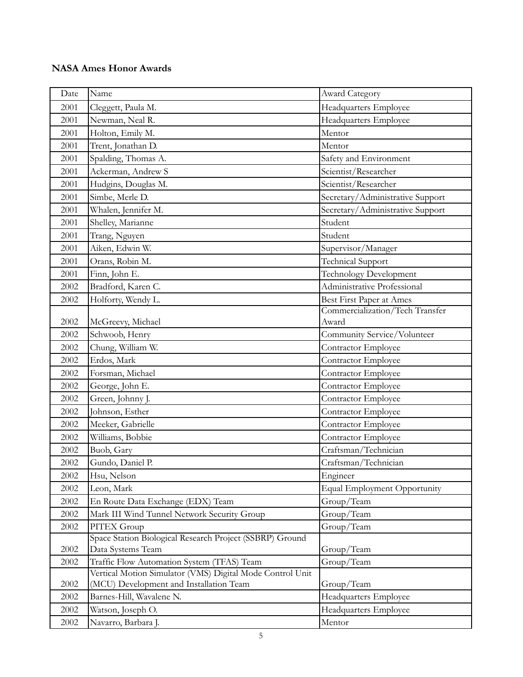| Date | Name                                                                          | <b>Award Category</b>               |
|------|-------------------------------------------------------------------------------|-------------------------------------|
| 2001 | Cleggett, Paula M.                                                            | Headquarters Employee               |
| 2001 | Newman, Neal R.                                                               | Headquarters Employee               |
| 2001 | Holton, Emily M.                                                              | Mentor                              |
| 2001 | Trent, Jonathan D.                                                            | Mentor                              |
| 2001 | Spalding, Thomas A.                                                           | Safety and Environment              |
| 2001 | Ackerman, Andrew S                                                            | Scientist/Researcher                |
| 2001 | Hudgins, Douglas M.                                                           | Scientist/Researcher                |
| 2001 | Simbe, Merle D.                                                               | Secretary/Administrative Support    |
| 2001 | Whalen, Jennifer M.                                                           | Secretary/Administrative Support    |
| 2001 | Shelley, Marianne                                                             | Student                             |
| 2001 | Trang, Nguyen                                                                 | Student                             |
| 2001 | Aiken, Edwin W.                                                               | Supervisor/Manager                  |
| 2001 | Orans, Robin M.                                                               | <b>Technical Support</b>            |
| 2001 | Finn, John E.                                                                 | <b>Technology Development</b>       |
| 2002 | Bradford, Karen C.                                                            | Administrative Professional         |
| 2002 | Holforty, Wendy L.                                                            | Best First Paper at Ames            |
|      |                                                                               | Commercialization/Tech Transfer     |
| 2002 | McGreevy, Michael                                                             | Award                               |
| 2002 | Schwoob, Henry                                                                | Community Service/Volunteer         |
| 2002 | Chung, William W.                                                             | Contractor Employee                 |
| 2002 | Erdos, Mark                                                                   | Contractor Employee                 |
| 2002 | Forsman, Michael                                                              | Contractor Employee                 |
| 2002 | George, John E.                                                               | Contractor Employee                 |
| 2002 | Green, Johnny J.                                                              | Contractor Employee                 |
| 2002 | Johnson, Esther                                                               | Contractor Employee                 |
| 2002 | Meeker, Gabrielle                                                             | Contractor Employee                 |
| 2002 | Williams, Bobbie                                                              | Contractor Employee                 |
| 2002 | Buob, Gary                                                                    | Craftsman/Technician                |
| 2002 | Gundo, Daniel P.                                                              | Craftsman/Technician                |
| 2002 | Hsu, Nelson                                                                   | Engineer                            |
| 2002 | Leon, Mark                                                                    | <b>Equal Employment Opportunity</b> |
| 2002 | En Route Data Exchange (EDX) Team                                             | Group/Team                          |
| 2002 | Mark III Wind Tunnel Network Security Group                                   | Group/Team                          |
| 2002 | PITEX Group                                                                   | Group/Team                          |
| 2002 | Space Station Biological Research Project (SSBRP) Ground<br>Data Systems Team | Group/Team                          |
| 2002 | Traffic Flow Automation System (TFAS) Team                                    | Group/Team                          |
|      | Vertical Motion Simulator (VMS) Digital Mode Control Unit                     |                                     |
| 2002 | (MCU) Development and Installation Team                                       | Group/Team                          |
| 2002 | Barnes-Hill, Wavalene N.                                                      | Headquarters Employee               |
| 2002 | Watson, Joseph O.                                                             | Headquarters Employee               |
| 2002 | Navarro, Barbara J.                                                           | Mentor                              |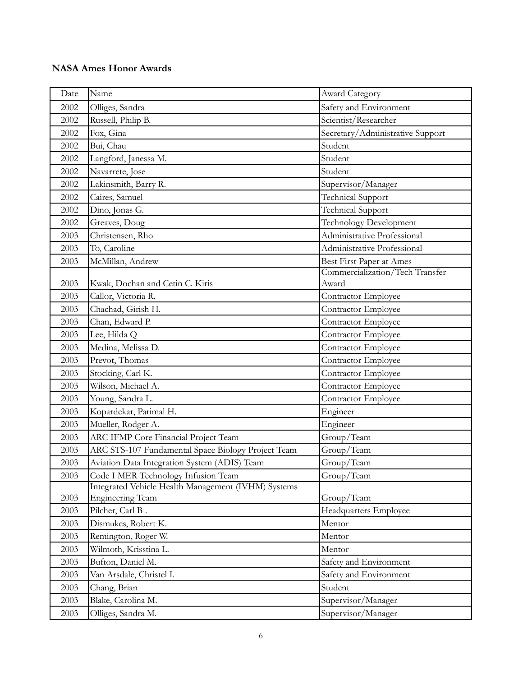| Date | Name                                                | Award Category                   |
|------|-----------------------------------------------------|----------------------------------|
| 2002 | Olliges, Sandra                                     | Safety and Environment           |
| 2002 | Russell, Philip B.                                  | Scientist/Researcher             |
| 2002 | Fox, Gina                                           | Secretary/Administrative Support |
| 2002 | Bui, Chau                                           | Student                          |
| 2002 | Langford, Janessa M.                                | Student                          |
| 2002 | Navarrete, Jose                                     | Student                          |
| 2002 | Lakinsmith, Barry R.                                | Supervisor/Manager               |
| 2002 | Caires, Samuel                                      | <b>Technical Support</b>         |
| 2002 | Dino, Jonas G.                                      | <b>Technical Support</b>         |
| 2002 | Greaves, Doug                                       | <b>Technology Development</b>    |
| 2003 | Christensen, Rho                                    | Administrative Professional      |
| 2003 | To, Caroline                                        | Administrative Professional      |
| 2003 | McMillan, Andrew                                    | Best First Paper at Ames         |
|      |                                                     | Commercialization/Tech Transfer  |
| 2003 | Kwak, Dochan and Cetin C. Kiris                     | Award                            |
| 2003 | Callor, Victoria R.                                 | Contractor Employee              |
| 2003 | Chachad, Girish H.                                  | Contractor Employee              |
| 2003 | Chan, Edward P.                                     | Contractor Employee              |
| 2003 | Lee, Hilda Q                                        | Contractor Employee              |
| 2003 | Medina, Melissa D.                                  | Contractor Employee              |
| 2003 | Prevot, Thomas                                      | Contractor Employee              |
| 2003 | Stocking, Carl K.                                   | Contractor Employee              |
| 2003 | Wilson, Michael A.                                  | Contractor Employee              |
| 2003 | Young, Sandra L.                                    | Contractor Employee              |
| 2003 | Kopardekar, Parimal H.                              | Engineer                         |
| 2003 | Mueller, Rodger A.                                  | Engineer                         |
| 2003 | ARC IFMP Core Financial Project Team                | Group/Team                       |
| 2003 | ARC STS-107 Fundamental Space Biology Project Team  | Group/Team                       |
| 2003 | Aviation Data Integration System (ADIS) Team        | Group/Team                       |
| 2003 | Code I MER Technology Infusion Team                 | Group/Team                       |
|      | Integrated Vehicle Health Management (IVHM) Systems |                                  |
| 2003 | <b>Engineering Team</b>                             | Group/Team                       |
| 2003 | Pilcher, Carl B.                                    | Headquarters Employee            |
| 2003 | Dismukes, Robert K.                                 | Mentor                           |
| 2003 | Remington, Roger W.                                 | Mentor                           |
| 2003 | Wilmoth, Krisstina L.                               | Mentor                           |
| 2003 | Bufton, Daniel M.                                   | Safety and Environment           |
| 2003 | Van Arsdale, Christel I.                            | Safety and Environment           |
| 2003 | Chang, Brian                                        | Student                          |
| 2003 | Blake, Carolina M.                                  | Supervisor/Manager               |
| 2003 | Olliges, Sandra M.                                  | Supervisor/Manager               |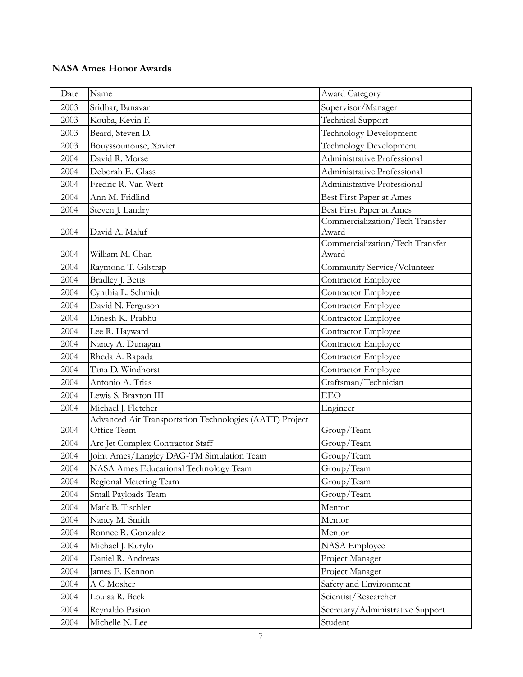| Date | Name                                                                   | Award Category                           |
|------|------------------------------------------------------------------------|------------------------------------------|
| 2003 | Sridhar, Banavar                                                       | Supervisor/Manager                       |
| 2003 | Kouba, Kevin F.                                                        | Technical Support                        |
| 2003 | Beard, Steven D.                                                       | <b>Technology Development</b>            |
| 2003 | Bouyssounouse, Xavier                                                  | <b>Technology Development</b>            |
| 2004 | David R. Morse                                                         | Administrative Professional              |
| 2004 | Deborah E. Glass                                                       | Administrative Professional              |
| 2004 | Fredric R. Van Wert                                                    | Administrative Professional              |
| 2004 | Ann M. Fridlind                                                        | Best First Paper at Ames                 |
| 2004 | Steven J. Landry                                                       | Best First Paper at Ames                 |
| 2004 | David A. Maluf                                                         | Commercialization/Tech Transfer<br>Award |
| 2004 | William M. Chan                                                        | Commercialization/Tech Transfer<br>Award |
| 2004 | Raymond T. Gilstrap                                                    | Community Service/Volunteer              |
| 2004 | Bradley J. Betts                                                       | Contractor Employee                      |
| 2004 | Cynthia L. Schmidt                                                     | Contractor Employee                      |
| 2004 | David N. Ferguson                                                      | Contractor Employee                      |
| 2004 | Dinesh K. Prabhu                                                       | Contractor Employee                      |
| 2004 | Lee R. Hayward                                                         | Contractor Employee                      |
| 2004 | Nancy A. Dunagan                                                       | Contractor Employee                      |
| 2004 | Rheda A. Rapada                                                        | Contractor Employee                      |
| 2004 | Tana D. Windhorst                                                      | Contractor Employee                      |
| 2004 | Antonio A. Trias                                                       | Craftsman/Technician                     |
| 2004 | Lewis S. Braxton III                                                   | <b>EEO</b>                               |
| 2004 | Michael J. Fletcher                                                    | Engineer                                 |
| 2004 | Advanced Air Transportation Technologies (AATT) Project<br>Office Team | Group/Team                               |
| 2004 | Arc Jet Complex Contractor Staff                                       | Group/Team                               |
| 2004 | Joint Ames/Langley DAG-TM Simulation Team                              | Group/Team                               |
| 2004 | NASA Ames Educational Technology Team                                  | Group/Team                               |
| 2004 | Regional Metering Team                                                 | Group/Team                               |
| 2004 | Small Payloads Team                                                    | Group/Team                               |
| 2004 | Mark B. Tischler                                                       | Mentor                                   |
| 2004 | Nancy M. Smith                                                         | Mentor                                   |
| 2004 | Ronnee R. Gonzalez                                                     | Mentor                                   |
| 2004 | Michael J. Kurylo                                                      | NASA Employee                            |
| 2004 | Daniel R. Andrews                                                      | Project Manager                          |
| 2004 | James E. Kennon                                                        | Project Manager                          |
| 2004 | A C Mosher                                                             | Safety and Environment                   |
| 2004 | Louisa R. Beck                                                         | Scientist/Researcher                     |
| 2004 | Reynaldo Pasion                                                        | Secretary/Administrative Support         |
| 2004 | Michelle N. Lee                                                        | Student                                  |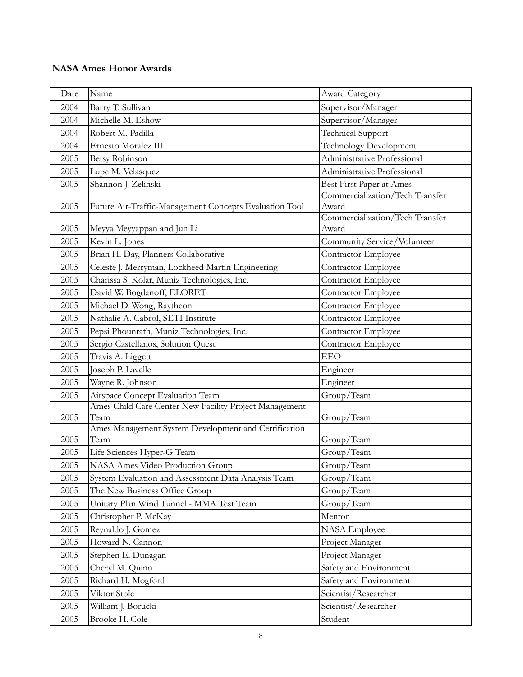| Date | Name                                                           | Award Category                           |
|------|----------------------------------------------------------------|------------------------------------------|
| 2004 | Barry T. Sullivan                                              | Supervisor/Manager                       |
| 2004 | Michelle M. Eshow                                              | Supervisor/Manager                       |
| 2004 | Robert M. Padilla                                              | <b>Technical Support</b>                 |
| 2004 | Ernesto Moralez III                                            | <b>Technology Development</b>            |
| 2005 | <b>Betsy Robinson</b>                                          | Administrative Professional              |
| 2005 | Lupe M. Velasquez                                              | Administrative Professional              |
| 2005 | Shannon J. Zelinski                                            | Best First Paper at Ames                 |
| 2005 | Future Air-Traffic-Management Concepts Evaluation Tool         | Commercialization/Tech Transfer<br>Award |
| 2005 | Meyya Meyyappan and Jun Li                                     | Commercialization/Tech Transfer<br>Award |
| 2005 | Kevin L. Jones                                                 | Community Service/Volunteer              |
| 2005 | Brian H. Day, Planners Collaborative                           | Contractor Employee                      |
| 2005 | Celeste J. Merryman, Lockheed Martin Engineering               | Contractor Employee                      |
| 2005 | Charissa S. Kolar, Muniz Technologies, Inc.                    | Contractor Employee                      |
| 2005 | David W. Bogdanoff, ELORET                                     | Contractor Employee                      |
| 2005 | Michael D. Wong, Raytheon                                      | Contractor Employee                      |
| 2005 | Nathalie A. Cabrol, SETI Institute                             | Contractor Employee                      |
| 2005 | Pepsi Phounrath, Muniz Technologies, Inc.                      | Contractor Employee                      |
| 2005 | Sergio Castellanos, Solution Quest                             | Contractor Employee                      |
| 2005 | Travis A. Liggett                                              | <b>EEO</b>                               |
| 2005 | Joseph P. Lavelle                                              | Engineer                                 |
| 2005 | Wayne R. Johnson                                               | Engineer                                 |
| 2005 | Airspace Concept Evaluation Team                               | Group/Team                               |
| 2005 | Ames Child Care Center New Facility Project Management<br>Team | Group/Team                               |
| 2005 | Ames Management System Development and Certification<br>Team   | Group/Team                               |
| 2005 | Life Sciences Hyper-G Team                                     | Group/Team                               |
| 2005 | NASA Ames Video Production Group                               | Group/Team                               |
| 2005 | System Evaluation and Assessment Data Analysis Team            | Group/Team                               |
| 2005 | The New Business Office Group                                  | Group/Team                               |
| 2005 | Unitary Plan Wind Tunnel - MMA Test Team                       | Group/Team                               |
| 2005 | Christopher P. McKay                                           | Mentor                                   |
| 2005 | Reynaldo J. Gomez                                              | <b>NASA</b> Employee                     |
| 2005 | Howard N. Cannon                                               | Project Manager                          |
| 2005 | Stephen E. Dunagan                                             | Project Manager                          |
| 2005 | Cheryl M. Quinn                                                | Safety and Environment                   |
| 2005 | Richard H. Mogford                                             | Safety and Environment                   |
| 2005 | Viktor Stolc                                                   | Scientist/Researcher                     |
| 2005 | William J. Borucki                                             | Scientist/Researcher                     |
| 2005 | Brooke H. Cole                                                 | Student                                  |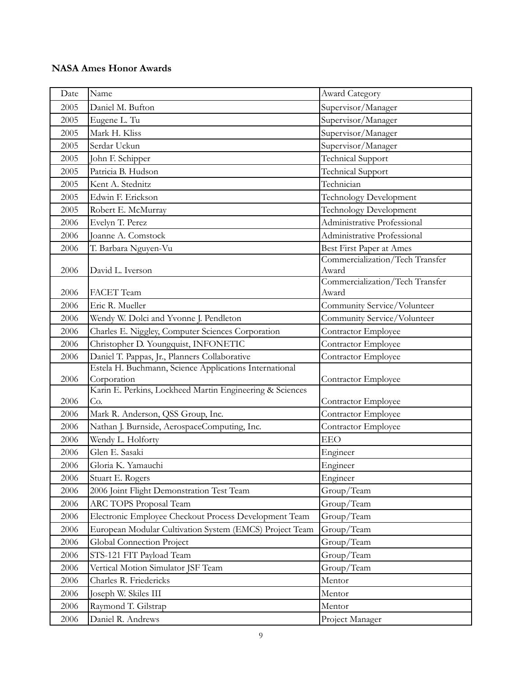| Date         | Name                                                                                                    | Award Category                             |
|--------------|---------------------------------------------------------------------------------------------------------|--------------------------------------------|
| 2005         | Daniel M. Bufton                                                                                        | Supervisor/Manager                         |
| 2005         | Eugene L. Tu                                                                                            | Supervisor/Manager                         |
| 2005         | Mark H. Kliss                                                                                           | Supervisor/Manager                         |
| 2005         | Serdar Uckun                                                                                            | Supervisor/Manager                         |
| 2005         | John F. Schipper                                                                                        | <b>Technical Support</b>                   |
| 2005         | Patricia B. Hudson                                                                                      | Technical Support                          |
| 2005         | Kent A. Stednitz                                                                                        | Technician                                 |
| 2005         | Edwin F. Erickson                                                                                       | <b>Technology Development</b>              |
| 2005         | Robert E. McMurray                                                                                      | Technology Development                     |
| 2006         | Evelyn T. Perez                                                                                         | Administrative Professional                |
| 2006         | Joanne A. Comstock                                                                                      | Administrative Professional                |
| 2006         | T. Barbara Nguyen-Vu                                                                                    | Best First Paper at Ames                   |
|              |                                                                                                         | Commercialization/Tech Transfer            |
| 2006         | David L. Iverson                                                                                        | Award                                      |
|              |                                                                                                         | Commercialization/Tech Transfer<br>Award   |
| 2006<br>2006 | FACET Team<br>Eric R. Mueller                                                                           |                                            |
|              |                                                                                                         | Community Service/Volunteer                |
| 2006<br>2006 | Wendy W. Dolci and Yvonne J. Pendleton                                                                  | Community Service/Volunteer                |
|              | Charles E. Niggley, Computer Sciences Corporation                                                       | Contractor Employee                        |
| 2006<br>2006 | Christopher D. Youngquist, INFONETIC                                                                    | Contractor Employee<br>Contractor Employee |
|              | Daniel T. Pappas, Jr., Planners Collaborative<br>Estela H. Buchmann, Science Applications International |                                            |
| 2006         | Corporation                                                                                             | Contractor Employee                        |
|              | Karin E. Perkins, Lockheed Martin Engineering & Sciences                                                |                                            |
| 2006         | Co.                                                                                                     | Contractor Employee                        |
| 2006         | Mark R. Anderson, QSS Group, Inc.                                                                       | Contractor Employee                        |
| 2006         | Nathan J. Burnside, AerospaceComputing, Inc.                                                            | Contractor Employee                        |
| 2006         | Wendy L. Holforty                                                                                       | <b>EEO</b>                                 |
| 2006         | Glen E. Sasaki                                                                                          | Engineer                                   |
| 2006         | Gloria K. Yamauchi                                                                                      | Engineer                                   |
| 2006         | Stuart E. Rogers                                                                                        | Engineer                                   |
| 2006         | 2006 Joint Flight Demonstration Test Team                                                               | Group/Team                                 |
| 2006         | ARC TOPS Proposal Team                                                                                  | Group/Team                                 |
| 2006         | Electronic Employee Checkout Process Development Team                                                   | Group/Team                                 |
| 2006         | European Modular Cultivation System (EMCS) Project Team                                                 | Group/Team                                 |
| 2006         | Global Connection Project                                                                               | Group/Team                                 |
| 2006         | STS-121 FIT Payload Team                                                                                | Group/Team                                 |
| 2006         | Vertical Motion Simulator JSF Team                                                                      | Group/Team                                 |
| 2006         | Charles R. Friedericks                                                                                  | Mentor                                     |
| 2006         | Joseph W. Skiles III                                                                                    | Mentor                                     |
| 2006         | Raymond T. Gilstrap                                                                                     | Mentor                                     |
| 2006         | Daniel R. Andrews                                                                                       | Project Manager                            |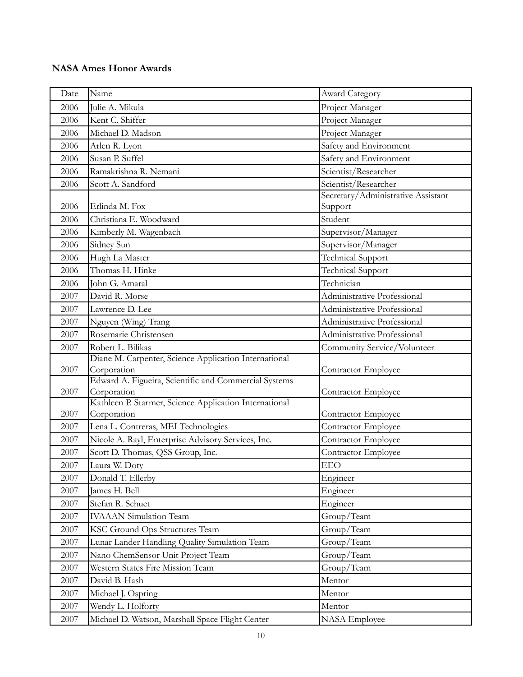| Date | Name                                                                 | Award Category                     |
|------|----------------------------------------------------------------------|------------------------------------|
| 2006 | Julie A. Mikula                                                      | Project Manager                    |
| 2006 | Kent C. Shiffer                                                      | Project Manager                    |
| 2006 | Michael D. Madson                                                    | Project Manager                    |
| 2006 | Arlen R. Lyon                                                        | Safety and Environment             |
| 2006 | Susan P. Suffel                                                      | Safety and Environment             |
| 2006 | Ramakrishna R. Nemani                                                | Scientist/Researcher               |
| 2006 | Scott A. Sandford                                                    | Scientist/Researcher               |
|      |                                                                      | Secretary/Administrative Assistant |
| 2006 | Erlinda M. Fox                                                       | Support                            |
| 2006 | Christiana E. Woodward                                               | Student                            |
| 2006 | Kimberly M. Wagenbach                                                | Supervisor/Manager                 |
| 2006 | Sidney Sun                                                           | Supervisor/Manager                 |
| 2006 | Hugh La Master                                                       | <b>Technical Support</b>           |
| 2006 | Thomas H. Hinke                                                      | <b>Technical Support</b>           |
| 2006 | John G. Amaral                                                       | Technician                         |
| 2007 | David R. Morse                                                       | Administrative Professional        |
| 2007 | Lawrence D. Lee                                                      | Administrative Professional        |
| 2007 | Nguyen (Wing) Trang                                                  | Administrative Professional        |
| 2007 | Rosemarie Christensen                                                | Administrative Professional        |
| 2007 | Robert L. Bilikas                                                    | Community Service/Volunteer        |
|      | Diane M. Carpenter, Science Application International                |                                    |
| 2007 | Corporation                                                          | Contractor Employee                |
| 2007 | Edward A. Figueira, Scientific and Commercial Systems<br>Corporation | Contractor Employee                |
|      | Kathleen P. Starmer, Science Application International               |                                    |
| 2007 | Corporation                                                          | Contractor Employee                |
| 2007 | Lena L. Contreras, MEI Technologies                                  | Contractor Employee                |
| 2007 | Nicole A. Rayl, Enterprise Advisory Services, Inc.                   | Contractor Employee                |
| 2007 | Scott D. Thomas, QSS Group, Inc.                                     | Contractor Employee                |
| 2007 | Laura W. Doty                                                        | <b>EEO</b>                         |
| 2007 | Donald T. Ellerby                                                    | Engineer                           |
| 2007 | James H. Bell                                                        | Engineer                           |
| 2007 | Stefan R. Schuet                                                     | Engineer                           |
| 2007 | <b>IVAAAN</b> Simulation Team                                        | Group/Team                         |
| 2007 | KSC Ground Ops Structures Team                                       | Group/Team                         |
| 2007 | Lunar Lander Handling Quality Simulation Team                        | Group/Team                         |
| 2007 | Nano ChemSensor Unit Project Team                                    | Group/Team                         |
| 2007 | Western States Fire Mission Team                                     | Group/Team                         |
| 2007 | David B. Hash                                                        | Mentor                             |
| 2007 | Michael J. Ospring                                                   | Mentor                             |
| 2007 | Wendy L. Holforty                                                    | Mentor                             |
| 2007 | Michael D. Watson, Marshall Space Flight Center                      | <b>NASA</b> Employee               |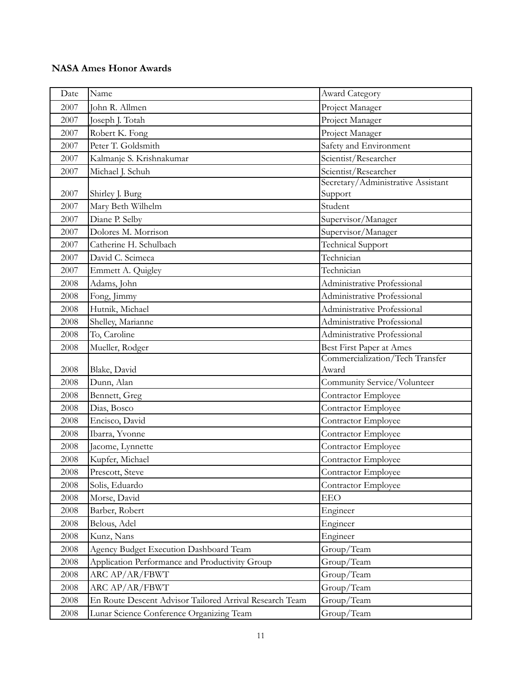| Date | Name                                                    | Award Category                     |
|------|---------------------------------------------------------|------------------------------------|
| 2007 | John R. Allmen                                          | Project Manager                    |
| 2007 | Joseph J. Totah                                         | Project Manager                    |
| 2007 | Robert K. Fong                                          | Project Manager                    |
| 2007 | Peter T. Goldsmith                                      | Safety and Environment             |
| 2007 | Kalmanje S. Krishnakumar                                | Scientist/Researcher               |
| 2007 | Michael J. Schuh                                        | Scientist/Researcher               |
|      |                                                         | Secretary/Administrative Assistant |
| 2007 | Shirley J. Burg                                         | Support                            |
| 2007 | Mary Beth Wilhelm                                       | Student                            |
| 2007 | Diane P. Selby                                          | Supervisor/Manager                 |
| 2007 | Dolores M. Morrison                                     | Supervisor/Manager                 |
| 2007 | Catherine H. Schulbach                                  | <b>Technical Support</b>           |
| 2007 | David C. Scimeca                                        | Technician                         |
| 2007 | Emmett A. Quigley                                       | Technician                         |
| 2008 | Adams, John                                             | Administrative Professional        |
| 2008 | Fong, Jimmy                                             | Administrative Professional        |
| 2008 | Hutnik, Michael                                         | Administrative Professional        |
| 2008 | Shelley, Marianne                                       | Administrative Professional        |
| 2008 | To, Caroline                                            | Administrative Professional        |
| 2008 | Mueller, Rodger                                         | Best First Paper at Ames           |
|      |                                                         | Commercialization/Tech Transfer    |
| 2008 | Blake, David                                            | Award                              |
| 2008 | Dunn, Alan                                              | Community Service/Volunteer        |
| 2008 | Bennett, Greg                                           | Contractor Employee                |
| 2008 | Dias, Bosco                                             | Contractor Employee                |
| 2008 | Encisco, David                                          | Contractor Employee                |
| 2008 | Ibarra, Yvonne                                          | Contractor Employee                |
| 2008 | Jacome, Lynnette                                        | Contractor Employee                |
| 2008 | Kupfer, Michael                                         | Contractor Employee                |
| 2008 | Prescott, Steve                                         | Contractor Employee                |
| 2008 | Solis, Eduardo                                          | Contractor Employee                |
| 2008 | Morse, David                                            | <b>EEO</b>                         |
| 2008 | Barber, Robert                                          | Engineer                           |
| 2008 | Belous, Adel                                            | Engineer                           |
| 2008 | Kunz, Nans                                              | Engineer                           |
| 2008 | Agency Budget Execution Dashboard Team                  | Group/Team                         |
| 2008 | Application Performance and Productivity Group          | Group/Team                         |
| 2008 | ARC AP/AR/FBWT                                          | Group/Team                         |
| 2008 | ARC AP/AR/FBWT                                          | Group/Team                         |
| 2008 | En Route Descent Advisor Tailored Arrival Research Team | Group/Team                         |
| 2008 | Lunar Science Conference Organizing Team                | Group/Team                         |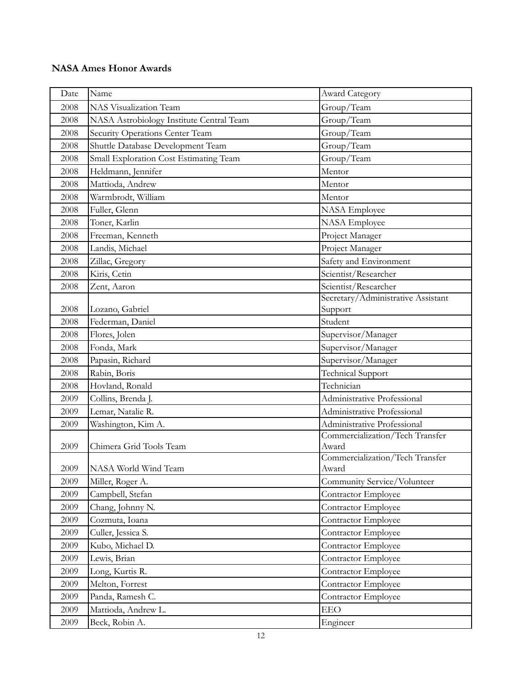| Date | Name                                     | Award Category                           |
|------|------------------------------------------|------------------------------------------|
| 2008 | NAS Visualization Team                   | Group/Team                               |
| 2008 | NASA Astrobiology Institute Central Team | Group/Team                               |
| 2008 | Security Operations Center Team          | Group/Team                               |
| 2008 | Shuttle Database Development Team        | Group/Team                               |
| 2008 | Small Exploration Cost Estimating Team   | Group/Team                               |
| 2008 | Heldmann, Jennifer                       | Mentor                                   |
| 2008 | Mattioda, Andrew                         | Mentor                                   |
| 2008 | Warmbrodt, William                       | Mentor                                   |
| 2008 | Fuller, Glenn                            | NASA Employee                            |
| 2008 | Toner, Karlin                            | <b>NASA</b> Employee                     |
| 2008 | Freeman, Kenneth                         | Project Manager                          |
| 2008 | Landis, Michael                          | Project Manager                          |
| 2008 | Zillac, Gregory                          | Safety and Environment                   |
| 2008 | Kiris, Cetin                             | Scientist/Researcher                     |
| 2008 | Zent, Aaron                              | Scientist/Researcher                     |
|      |                                          | Secretary/Administrative Assistant       |
| 2008 | Lozano, Gabriel                          | Support                                  |
| 2008 | Federman, Daniel                         | Student                                  |
| 2008 | Flores, Jolen                            | Supervisor/Manager                       |
| 2008 | Fonda, Mark                              | Supervisor/Manager                       |
| 2008 | Papasin, Richard                         | Supervisor/Manager                       |
| 2008 | Rabin, Boris                             | <b>Technical Support</b>                 |
| 2008 | Hovland, Ronald                          | Technician                               |
| 2009 | Collins, Brenda J.                       | Administrative Professional              |
| 2009 | Lemar, Natalie R.                        | Administrative Professional              |
| 2009 | Washington, Kim A.                       | Administrative Professional              |
| 2009 | Chimera Grid Tools Team                  | Commercialization/Tech Transfer<br>Award |
| 2009 | NASA World Wind Team                     | Commercialization/Tech Transfer<br>Award |
| 2009 | Miller, Roger A.                         | Community Service/Volunteer              |
| 2009 | Campbell, Stefan                         | Contractor Employee                      |
| 2009 | Chang, Johnny N.                         | Contractor Employee                      |
| 2009 | Cozmuta, Ioana                           | Contractor Employee                      |
| 2009 | Culler, Jessica S.                       | Contractor Employee                      |
| 2009 | Kubo, Michael D.                         | Contractor Employee                      |
| 2009 | Lewis, Brian                             | Contractor Employee                      |
| 2009 | Long, Kurtis R.                          | Contractor Employee                      |
| 2009 | Melton, Forrest                          | Contractor Employee                      |
| 2009 | Panda, Ramesh C.                         | Contractor Employee                      |
| 2009 | Mattioda, Andrew L.                      | <b>EEO</b>                               |
| 2009 | Beck, Robin A.                           | Engineer                                 |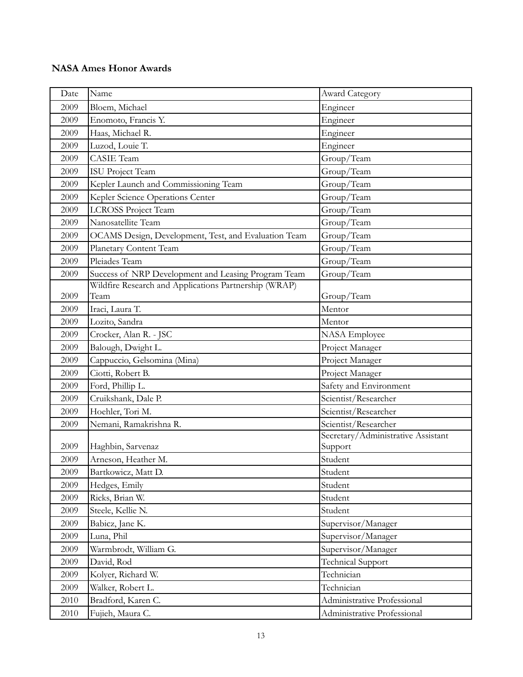| Date | Name                                                  | Award Category                                |
|------|-------------------------------------------------------|-----------------------------------------------|
| 2009 | Bloem, Michael                                        | Engineer                                      |
| 2009 | Enomoto, Francis Y.                                   | Engineer                                      |
| 2009 | Haas, Michael R.                                      | Engineer                                      |
| 2009 | Luzod, Louie T.                                       | Engineer                                      |
| 2009 | <b>CASIE</b> Team                                     | Group/Team                                    |
| 2009 | <b>ISU Project Team</b>                               | Group/Team                                    |
| 2009 | Kepler Launch and Commissioning Team                  | Group/Team                                    |
| 2009 | Kepler Science Operations Center                      | Group/Team                                    |
| 2009 | <b>LCROSS Project Team</b>                            | Group/Team                                    |
| 2009 | Nanosatellite Team                                    | Group/Team                                    |
| 2009 | OCAMS Design, Development, Test, and Evaluation Team  | Group/Team                                    |
| 2009 | Planetary Content Team                                | Group/Team                                    |
| 2009 | Pleiades Team                                         | Group/Team                                    |
| 2009 | Success of NRP Development and Leasing Program Team   | Group/Team                                    |
|      | Wildfire Research and Applications Partnership (WRAP) |                                               |
| 2009 | Team                                                  | Group/Team                                    |
| 2009 | Iraci, Laura T.                                       | Mentor                                        |
| 2009 | Lozito, Sandra                                        | Mentor                                        |
| 2009 | Crocker, Alan R. - JSC                                | NASA Employee                                 |
| 2009 | Balough, Dwight L.                                    | Project Manager                               |
| 2009 | Cappuccio, Gelsomina (Mina)                           | Project Manager                               |
| 2009 | Ciotti, Robert B.                                     | Project Manager                               |
| 2009 | Ford, Phillip L.                                      | Safety and Environment                        |
| 2009 | Cruikshank, Dale P.                                   | Scientist/Researcher                          |
| 2009 | Hoehler, Tori M.                                      | Scientist/Researcher                          |
| 2009 | Nemani, Ramakrishna R.                                | Scientist/Researcher                          |
| 2009 | Haghbin, Sarvenaz                                     | Secretary/Administrative Assistant<br>Support |
| 2009 | Arneson, Heather M.                                   | Student                                       |
| 2009 | Bartkowicz, Matt D.                                   | Student                                       |
| 2009 | Hedges, Emily                                         | Student                                       |
| 2009 | Ricks, Brian W.                                       | Student                                       |
| 2009 | Steele, Kellie N.                                     | Student                                       |
| 2009 | Babicz, Jane K.                                       | Supervisor/Manager                            |
| 2009 | Luna, Phil                                            | Supervisor/Manager                            |
| 2009 | Warmbrodt, William G.                                 | Supervisor/Manager                            |
| 2009 | David, Rod                                            | Technical Support                             |
| 2009 | Kolyer, Richard W.                                    | Technician                                    |
| 2009 | Walker, Robert L.                                     | Technician                                    |
| 2010 | Bradford, Karen C.                                    | Administrative Professional                   |
| 2010 | Fujieh, Maura C.                                      | Administrative Professional                   |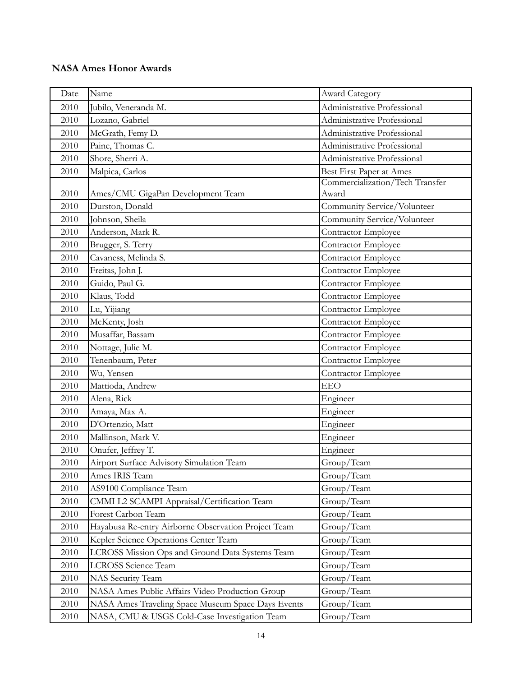| Date | Name                                                | <b>Award Category</b>           |
|------|-----------------------------------------------------|---------------------------------|
| 2010 | Jubilo, Veneranda M.                                | Administrative Professional     |
| 2010 | Lozano, Gabriel                                     | Administrative Professional     |
| 2010 | McGrath, Femy D.                                    | Administrative Professional     |
| 2010 | Paine, Thomas C.                                    | Administrative Professional     |
| 2010 | Shore, Sherri A.                                    | Administrative Professional     |
| 2010 | Malpica, Carlos                                     | Best First Paper at Ames        |
|      |                                                     | Commercialization/Tech Transfer |
| 2010 | Ames/CMU GigaPan Development Team                   | Award                           |
| 2010 | Durston, Donald                                     | Community Service/Volunteer     |
| 2010 | Johnson, Sheila                                     | Community Service/Volunteer     |
| 2010 | Anderson, Mark R.                                   | Contractor Employee             |
| 2010 | Brugger, S. Terry                                   | Contractor Employee             |
| 2010 | Cavaness, Melinda S.                                | Contractor Employee             |
| 2010 | Freitas, John J.                                    | Contractor Employee             |
| 2010 | Guido, Paul G.                                      | Contractor Employee             |
| 2010 | Klaus, Todd                                         | Contractor Employee             |
| 2010 | Lu, Yijiang                                         | Contractor Employee             |
| 2010 | McKenty, Josh                                       | Contractor Employee             |
| 2010 | Musaffar, Bassam                                    | Contractor Employee             |
| 2010 | Nottage, Julie M.                                   | Contractor Employee             |
| 2010 | Tenenbaum, Peter                                    | Contractor Employee             |
| 2010 | Wu, Yensen                                          | Contractor Employee             |
| 2010 | Mattioda, Andrew                                    | <b>EEO</b>                      |
| 2010 | Alena, Rick                                         | Engineer                        |
| 2010 | Amaya, Max A.                                       | Engineer                        |
| 2010 | D'Ortenzio, Matt                                    | Engineer                        |
| 2010 | Mallinson, Mark V.                                  | Engineer                        |
| 2010 | Onufer, Jeffrey T.                                  | Engineer                        |
| 2010 | Airport Surface Advisory Simulation Team            | Group/Team                      |
| 2010 | Ames IRIS Team                                      | Group/Team                      |
| 2010 | AS9100 Compliance Team                              | Group/Team                      |
| 2010 | CMMI L2 SCAMPI Appraisal/Certification Team         | Group/Team                      |
| 2010 | Forest Carbon Team                                  | Group/Team                      |
| 2010 | Hayabusa Re-entry Airborne Observation Project Team | Group/Team                      |
| 2010 | Kepler Science Operations Center Team               | Group/Team                      |
| 2010 | LCROSS Mission Ops and Ground Data Systems Team     | Group/Team                      |
| 2010 | <b>LCROSS</b> Science Team                          | Group/Team                      |
| 2010 | NAS Security Team                                   | Group/Team                      |
| 2010 | NASA Ames Public Affairs Video Production Group     | Group/Team                      |
| 2010 | NASA Ames Traveling Space Museum Space Days Events  | Group/Team                      |
| 2010 | NASA, CMU & USGS Cold-Case Investigation Team       | Group/Team                      |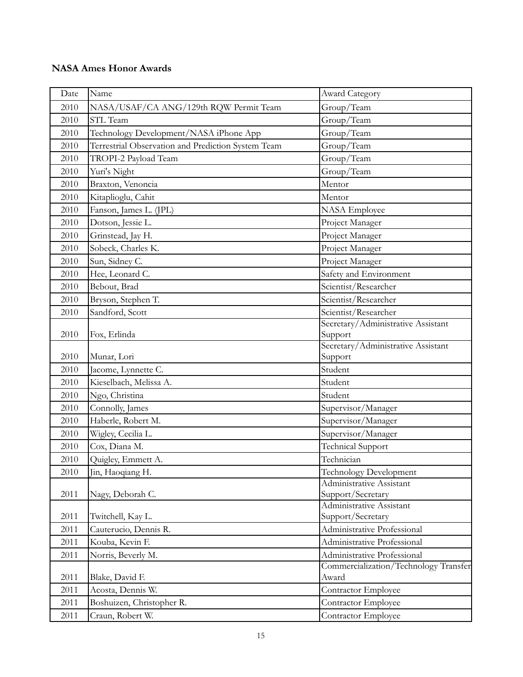| Date | Name                                               | Award Category                                                       |
|------|----------------------------------------------------|----------------------------------------------------------------------|
| 2010 | NASA/USAF/CA ANG/129th RQW Permit Team             | Group/Team                                                           |
| 2010 | STL Team                                           | Group/Team                                                           |
| 2010 | Technology Development/NASA iPhone App             | Group/Team                                                           |
| 2010 | Terrestrial Observation and Prediction System Team | Group/Team                                                           |
| 2010 | TROPI-2 Payload Team                               | Group/Team                                                           |
| 2010 | Yuri's Night                                       | Group/Team                                                           |
| 2010 | Braxton, Venoncia                                  | Mentor                                                               |
| 2010 | Kitaplioglu, Cahit                                 | Mentor                                                               |
| 2010 | Fanson, James L. (JPL)                             | <b>NASA</b> Employee                                                 |
| 2010 | Dotson, Jessie L.                                  | Project Manager                                                      |
| 2010 | Grinstead, Jay H.                                  | Project Manager                                                      |
| 2010 | Sobeck, Charles K.                                 | Project Manager                                                      |
| 2010 | Sun, Sidney C.                                     | Project Manager                                                      |
| 2010 | Hee, Leonard C.                                    | Safety and Environment                                               |
| 2010 | Bebout, Brad                                       | Scientist/Researcher                                                 |
| 2010 | Bryson, Stephen T.                                 | Scientist/Researcher                                                 |
| 2010 | Sandford, Scott                                    | Scientist/Researcher                                                 |
|      |                                                    | Secretary/Administrative Assistant                                   |
| 2010 | Fox, Erlinda                                       | Support                                                              |
| 2010 | Munar, Lori                                        | Secretary/Administrative Assistant<br>Support                        |
| 2010 | Jacome, Lynnette C.                                | Student                                                              |
| 2010 | Kieselbach, Melissa A.                             | Student                                                              |
| 2010 | Ngo, Christina                                     | Student                                                              |
| 2010 | Connolly, James                                    | Supervisor/Manager                                                   |
| 2010 | Haberle, Robert M.                                 | Supervisor/Manager                                                   |
| 2010 | Wigley, Cecilia L.                                 | Supervisor/Manager                                                   |
| 2010 | Cox, Diana M.                                      | <b>Technical Support</b>                                             |
| 2010 | Quigley, Emmett A.                                 | Technician                                                           |
| 2010 | Jin, Haoqiang H.                                   | Technology Development                                               |
|      |                                                    | Administrative Assistant                                             |
| 2011 | Nagy, Deborah C.                                   | Support/Secretary                                                    |
|      |                                                    | Administrative Assistant                                             |
| 2011 | Twitchell, Kay L.                                  | Support/Secretary                                                    |
| 2011 | Cauterucio, Dennis R.                              | Administrative Professional                                          |
| 2011 | Kouba, Kevin F.                                    | Administrative Professional                                          |
| 2011 | Norris, Beverly M.                                 | Administrative Professional<br>Commercialization/Technology Transfer |
| 2011 | Blake, David F.                                    | Award                                                                |
| 2011 | Acosta, Dennis W.                                  | Contractor Employee                                                  |
| 2011 | Boshuizen, Christopher R.                          | Contractor Employee                                                  |
| 2011 | Craun, Robert W.                                   | Contractor Employee                                                  |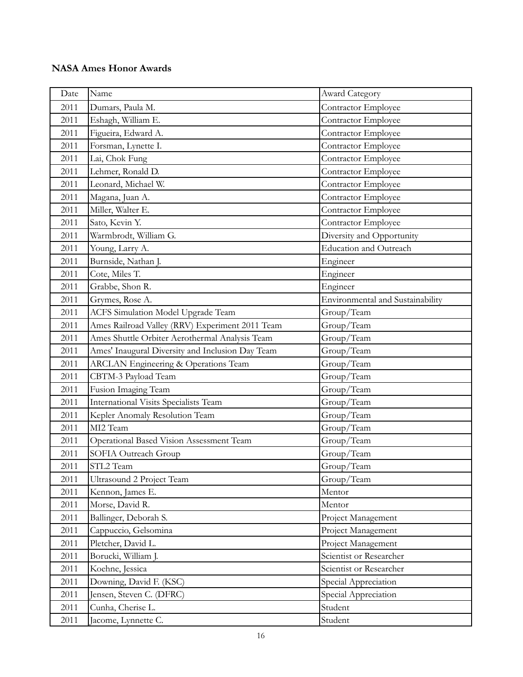| Date | Name                                             | <b>Award Category</b>            |
|------|--------------------------------------------------|----------------------------------|
| 2011 | Dumars, Paula M.                                 | Contractor Employee              |
| 2011 | Eshagh, William E.                               | Contractor Employee              |
| 2011 | Figueira, Edward A.                              | Contractor Employee              |
| 2011 | Forsman, Lynette I.                              | Contractor Employee              |
| 2011 | Lai, Chok Fung                                   | Contractor Employee              |
| 2011 | Lehmer, Ronald D.                                | Contractor Employee              |
| 2011 | Leonard, Michael W.                              | Contractor Employee              |
| 2011 | Magana, Juan A.                                  | Contractor Employee              |
| 2011 | Miller, Walter E.                                | Contractor Employee              |
| 2011 | Sato, Kevin Y.                                   | Contractor Employee              |
| 2011 | Warmbrodt, William G.                            | Diversity and Opportunity        |
| 2011 | Young, Larry A.                                  | Education and Outreach           |
| 2011 | Burnside, Nathan J.                              | Engineer                         |
| 2011 | Cote, Miles T.                                   | Engineer                         |
| 2011 | Grabbe, Shon R.                                  | Engineer                         |
| 2011 | Grymes, Rose A.                                  | Environmental and Sustainability |
| 2011 | ACFS Simulation Model Upgrade Team               | Group/Team                       |
| 2011 | Ames Railroad Valley (RRV) Experiment 2011 Team  | Group/Team                       |
| 2011 | Ames Shuttle Orbiter Aerothermal Analysis Team   | Group/Team                       |
| 2011 | Ames' Inaugural Diversity and Inclusion Day Team | Group/Team                       |
| 2011 | <b>ARCLAN Engineering &amp; Operations Team</b>  | Group/Team                       |
| 2011 | CBTM-3 Payload Team                              | Group/Team                       |
| 2011 | Fusion Imaging Team                              | Group/Team                       |
| 2011 | International Visits Specialists Team            | Group/Team                       |
| 2011 | Kepler Anomaly Resolution Team                   | Group/Team                       |
| 2011 | MI2 Team                                         | Group/Team                       |
| 2011 | Operational Based Vision Assessment Team         | Group/Team                       |
| 2011 | SOFIA Outreach Group                             | Group/Team                       |
| 2011 | STL2 Team                                        | Group/Team                       |
| 2011 | Ultrasound 2 Project Team                        | Group/Team                       |
| 2011 | Kennon, James E.                                 | Mentor                           |
| 2011 | Morse, David R.                                  | Mentor                           |
| 2011 | Ballinger, Deborah S.                            | Project Management               |
| 2011 | Cappuccio, Gelsomina                             | Project Management               |
| 2011 | Pletcher, David L.                               | Project Management               |
| 2011 | Borucki, William J.                              | Scientist or Researcher          |
| 2011 | Koehne, Jessica                                  | Scientist or Researcher          |
| 2011 | Downing, David F. (KSC)                          | Special Appreciation             |
| 2011 | Jensen, Steven C. (DFRC)                         | Special Appreciation             |
| 2011 | Cunha, Cherise L.                                | Student                          |
| 2011 | Jacome, Lynnette C.                              | Student                          |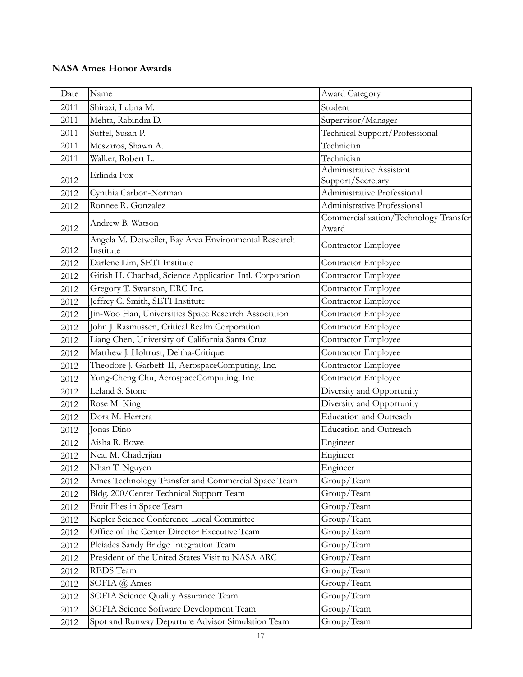| Date | Name                                                              | Award Category                                 |
|------|-------------------------------------------------------------------|------------------------------------------------|
| 2011 | Shirazi, Lubna M.                                                 | Student                                        |
| 2011 | Mehta, Rabindra D.                                                | Supervisor/Manager                             |
| 2011 | Suffel, Susan P.                                                  | Technical Support/Professional                 |
| 2011 | Meszaros, Shawn A.                                                | Technician                                     |
| 2011 | Walker, Robert L.                                                 | Technician                                     |
|      | Erlinda Fox                                                       | Administrative Assistant                       |
| 2012 |                                                                   | Support/Secretary                              |
| 2012 | Cynthia Carbon-Norman                                             | Administrative Professional                    |
| 2012 | Ronnee R. Gonzalez                                                | Administrative Professional                    |
| 2012 | Andrew B. Watson                                                  | Commercialization/Technology Transfer<br>Award |
| 2012 | Angela M. Detweiler, Bay Area Environmental Research<br>Institute | Contractor Employee                            |
| 2012 | Darlene Lim, SETI Institute                                       | Contractor Employee                            |
| 2012 | Girish H. Chachad, Science Application Intl. Corporation          | Contractor Employee                            |
| 2012 | Gregory T. Swanson, ERC Inc.                                      | Contractor Employee                            |
| 2012 | Jeffrey C. Smith, SETI Institute                                  | Contractor Employee                            |
| 2012 | Jin-Woo Han, Universities Space Research Association              | Contractor Employee                            |
| 2012 | John J. Rasmussen, Critical Realm Corporation                     | Contractor Employee                            |
| 2012 | Liang Chen, University of California Santa Cruz                   | Contractor Employee                            |
| 2012 | Matthew J. Holtrust, Deltha-Critique                              | Contractor Employee                            |
| 2012 | Theodore J. Garbeff II, AerospaceComputing, Inc.                  | Contractor Employee                            |
| 2012 | Yung-Cheng Chu, AerospaceComputing, Inc.                          | Contractor Employee                            |
| 2012 | Leland S. Stone                                                   | Diversity and Opportunity                      |
| 2012 | Rose M. King                                                      | Diversity and Opportunity                      |
| 2012 | Dora M. Herrera                                                   | Education and Outreach                         |
| 2012 | Jonas Dino                                                        | Education and Outreach                         |
| 2012 | Aisha R. Bowe                                                     | Engineer                                       |
| 2012 | Neal M. Chaderjian                                                | Engineer                                       |
| 2012 | Nhan T. Nguyen                                                    | Engineer                                       |
| 2012 | Ames Technology Transfer and Commercial Space Team                | Group/Team                                     |
| 2012 | Bldg. 200/Center Technical Support Team                           | Group/Team                                     |
| 2012 | Fruit Flies in Space Team                                         | Group/Team                                     |
| 2012 | Kepler Science Conference Local Committee                         | Group/Team                                     |
| 2012 | Office of the Center Director Executive Team                      | Group/Team                                     |
| 2012 | Pleiades Sandy Bridge Integration Team                            | Group/Team                                     |
| 2012 | President of the United States Visit to NASA ARC                  | Group/Team                                     |
| 2012 | REDS Team                                                         | Group/Team                                     |
| 2012 | SOFIA @ Ames                                                      | Group/Team                                     |
| 2012 | SOFIA Science Quality Assurance Team                              | Group/Team                                     |
| 2012 | SOFIA Science Software Development Team                           | Group/Team                                     |
| 2012 | Spot and Runway Departure Advisor Simulation Team                 | Group/Team                                     |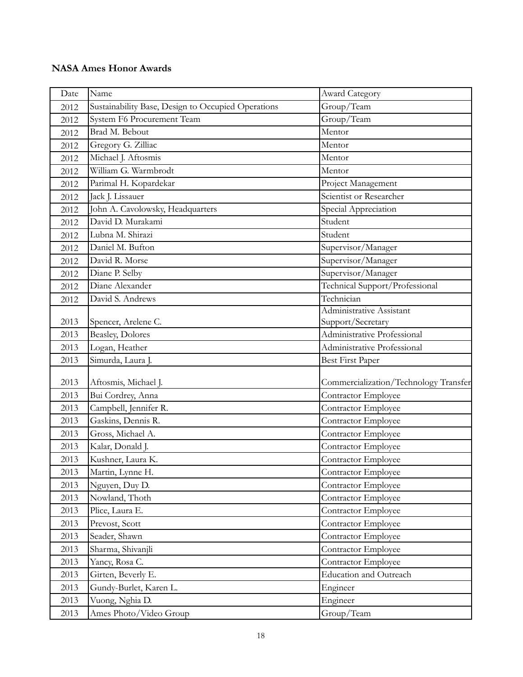| Date | Name                                               | <b>Award Category</b>                 |
|------|----------------------------------------------------|---------------------------------------|
| 2012 | Sustainability Base, Design to Occupied Operations | Group/Team                            |
| 2012 | <b>System F6 Procurement Team</b>                  | Group/Team                            |
| 2012 | Brad M. Bebout                                     | Mentor                                |
| 2012 | Gregory G. Zilliac                                 | Mentor                                |
| 2012 | Michael J. Aftosmis                                | Mentor                                |
| 2012 | William G. Warmbrodt                               | Mentor                                |
| 2012 | Parimal H. Kopardekar                              | Project Management                    |
| 2012 | Jack J. Lissauer                                   | Scientist or Researcher               |
| 2012 | John A. Cavolowsky, Headquarters                   | Special Appreciation                  |
| 2012 | David D. Murakami                                  | Student                               |
| 2012 | Lubna M. Shirazi                                   | Student                               |
| 2012 | Daniel M. Bufton                                   | Supervisor/Manager                    |
| 2012 | David R. Morse                                     | Supervisor/Manager                    |
| 2012 | Diane P. Selby                                     | Supervisor/Manager                    |
| 2012 | Diane Alexander                                    | Technical Support/Professional        |
| 2012 | David S. Andrews                                   | Technician                            |
|      |                                                    | Administrative Assistant              |
| 2013 | Spencer, Arelene C.                                | Support/Secretary                     |
| 2013 | <b>Beasley, Dolores</b>                            | Administrative Professional           |
| 2013 | Logan, Heather                                     | Administrative Professional           |
| 2013 | Simurda, Laura J.                                  | Best First Paper                      |
| 2013 | Aftosmis, Michael J.                               | Commercialization/Technology Transfer |
| 2013 | Bui Cordrey, Anna                                  | Contractor Employee                   |
| 2013 | Campbell, Jennifer R.                              | Contractor Employee                   |
| 2013 | Gaskins, Dennis R.                                 | Contractor Employee                   |
| 2013 | Gross, Michael A.                                  | Contractor Employee                   |
| 2013 | Kalar, Donald J.                                   | Contractor Employee                   |
| 2013 | Kushner, Laura K.                                  | Contractor Employee                   |
| 2013 | Martin, Lynne H.                                   | Contractor Employee                   |
| 2013 | Nguyen, Duy D.                                     | Contractor Employee                   |
| 2013 | Nowland, Thoth                                     | Contractor Employee                   |
| 2013 | Plice, Laura E.                                    | Contractor Employee                   |
| 2013 | Prevost, Scott                                     | Contractor Employee                   |
| 2013 | Seader, Shawn                                      | Contractor Employee                   |
| 2013 | Sharma, Shivanjli                                  | Contractor Employee                   |
| 2013 | Yancy, Rosa C.                                     | Contractor Employee                   |
| 2013 | Girten, Beverly E.                                 | <b>Education and Outreach</b>         |
| 2013 | Gundy-Burlet, Karen L.                             | Engineer                              |
| 2013 | Vuong, Nghia D.                                    | Engineer                              |
| 2013 | Ames Photo/Video Group                             | Group/Team                            |